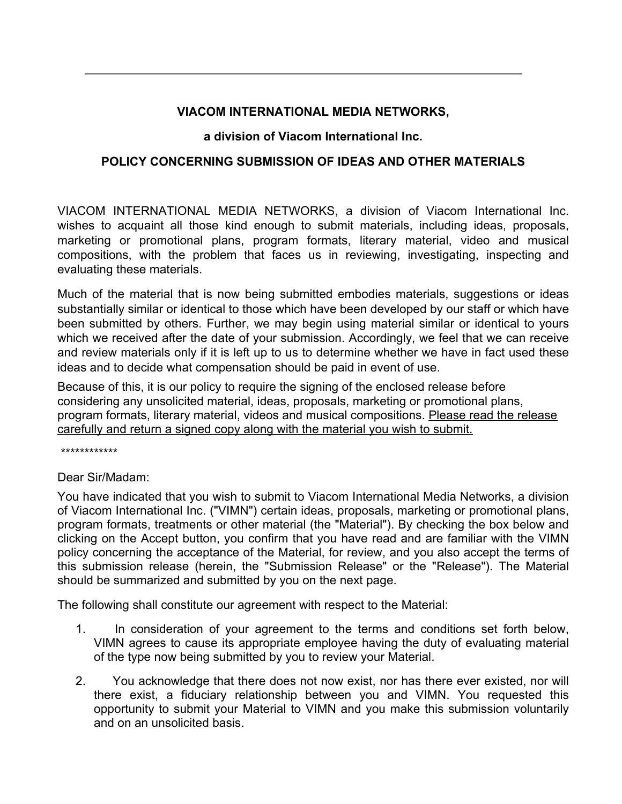## **VIACOM INTERNATIONAL MEDIA NETWORKS,**

## **a division of Viacom International Inc.**

## **POLICY CONCERNING SUBMISSION OF IDEAS AND OTHER MATERIALS**

VIACOM INTERNATIONAL MEDIA NETWORKS, a division of Viacom International Inc. wishes to acquaint all those kind enough to submit materials, including ideas, proposals, marketing or promotional plans, program formats, literary material, video and musical compositions, with the problem that faces us in reviewing, investigating, inspecting and evaluating these materials.

Much of the material that is now being submitted embodies materials, suggestions or ideas substantially similar or identical to those which have been developed by our staff or which have been submitted by others. Further, we may begin using material similar or identical to yours which we received after the date of your submission. Accordingly, we feel that we can receive and review materials only if it is left up to us to determine whether we have in fact used these ideas and to decide what compensation should be paid in event of use.

Because of this, it is our policy to require the signing of the enclosed release before considering any unsolicited material, ideas, proposals, marketing or promotional plans, program formats, literary material, videos and musical compositions. Please read the release carefully and return a signed copy along with the material you wish to submit.

\*\*\*\*\*\*\*\*\*\*\*\*

Dear Sir/Madam:

You have indicated that you wish to submit to Viacom International Media Networks, a division of Viacom International Inc. ("VIMN") certain ideas, proposals, marketing or promotional plans, program formats, treatments or other material (the "Material"). By checking the box below and clicking on the Accept button, you confirm that you have read and are familiar with the VIMN policy concerning the acceptance of the Material, for review, and you also accept the terms of this submission release (herein, the "Submission Release" or the "Release"). The Material should be summarized and submitted by you on the next page.

The following shall constitute our agreement with respect to the Material:

- 1. In consideration of your agreement to the terms and conditions set forth below, VIMN agrees to cause its appropriate employee having the duty of evaluating material of the type now being submitted by you to review your Material.
- 2. You acknowledge that there does not now exist, nor has there ever existed, nor will there exist, a fiduciary relationship between you and VIMN. You requested this opportunity to submit your Material to VIMN and you make this submission voluntarily and on an unsolicited basis.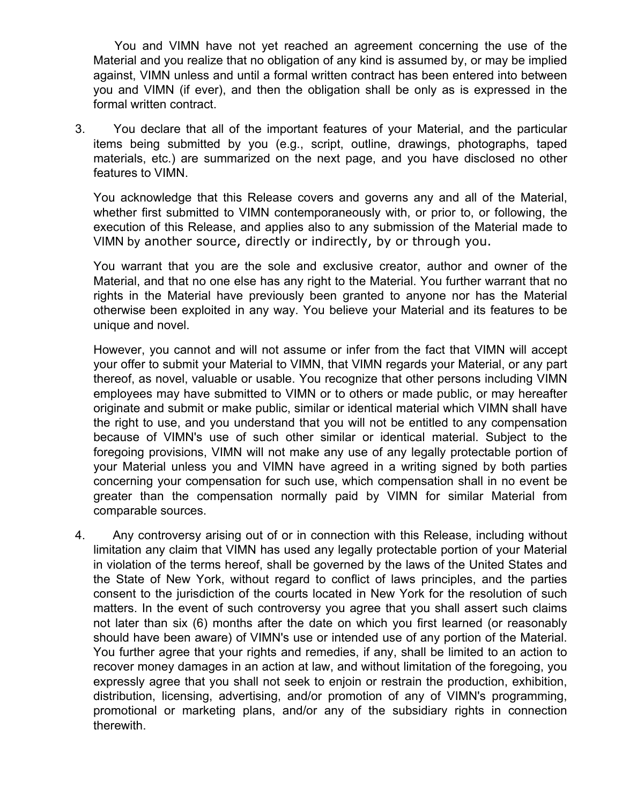You and VIMN have not yet reached an agreement concerning the use of the Material and you realize that no obligation of any kind is assumed by, or may be implied against, VIMN unless and until a formal written contract has been entered into between you and VIMN (if ever), and then the obligation shall be only as is expressed in the formal written contract.

3. You declare that all of the important features of your Material, and the particular items being submitted by you (e.g., script, outline, drawings, photographs, taped materials, etc.) are summarized on the next page, and you have disclosed no other features to VIMN.

You acknowledge that this Release covers and governs any and all of the Material, whether first submitted to VIMN contemporaneously with, or prior to, or following, the execution of this Release, and applies also to any submission of the Material made to VIMN by another source, directly or indirectly, by or through you.

You warrant that you are the sole and exclusive creator, author and owner of the Material, and that no one else has any right to the Material. You further warrant that no rights in the Material have previously been granted to anyone nor has the Material otherwise been exploited in any way. You believe your Material and its features to be unique and novel.

However, you cannot and will not assume or infer from the fact that VIMN will accept your offer to submit your Material to VIMN, that VIMN regards your Material, or any part thereof, as novel, valuable or usable. You recognize that other persons including VIMN employees may have submitted to VIMN or to others or made public, or may hereafter originate and submit or make public, similar or identical material which VIMN shall have the right to use, and you understand that you will not be entitled to any compensation because of VIMN's use of such other similar or identical material. Subject to the foregoing provisions, VIMN will not make any use of any legally protectable portion of your Material unless you and VIMN have agreed in a writing signed by both parties concerning your compensation for such use, which compensation shall in no event be greater than the compensation normally paid by VIMN for similar Material from comparable sources.

4. Any controversy arising out of or in connection with this Release, including without limitation any claim that VIMN has used any legally protectable portion of your Material in violation of the terms hereof, shall be governed by the laws of the United States and the State of New York, without regard to conflict of laws principles, and the parties consent to the jurisdiction of the courts located in New York for the resolution of such matters. In the event of such controversy you agree that you shall assert such claims not later than six (6) months after the date on which you first learned (or reasonably should have been aware) of VIMN's use or intended use of any portion of the Material. You further agree that your rights and remedies, if any, shall be limited to an action to recover money damages in an action at law, and without limitation of the foregoing, you expressly agree that you shall not seek to enjoin or restrain the production, exhibition, distribution, licensing, advertising, and/or promotion of any of VIMN's programming, promotional or marketing plans, and/or any of the subsidiary rights in connection therewith.